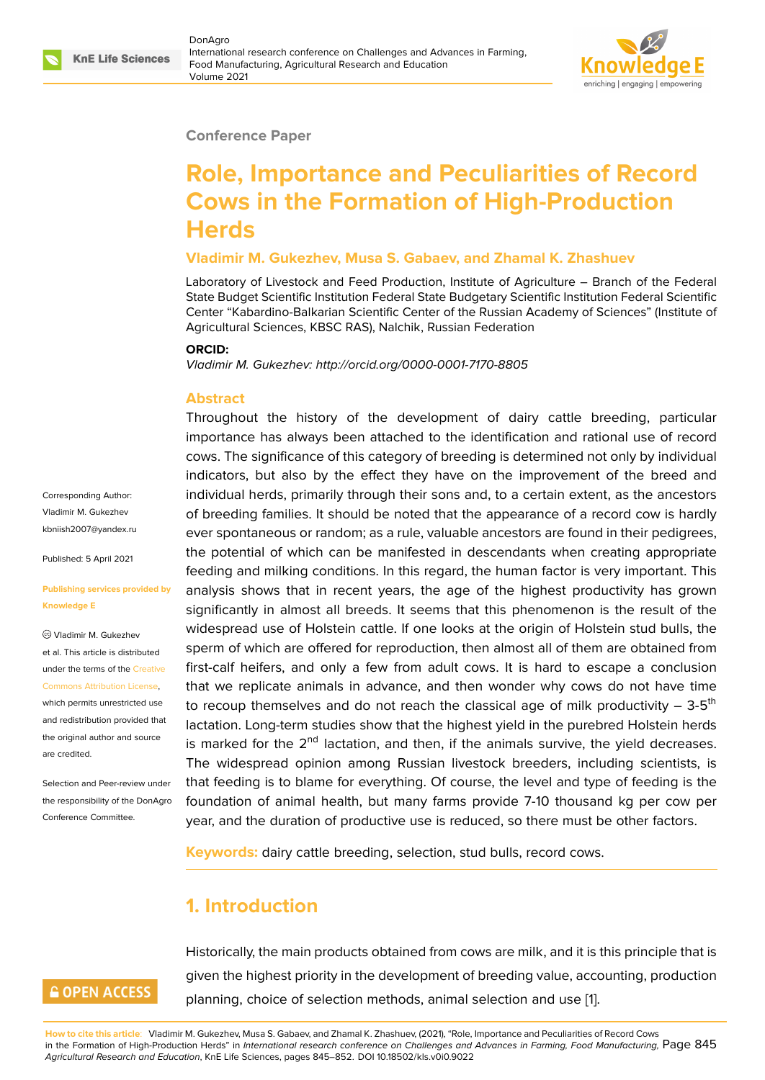#### **Conference Paper**

# **Role, Importance and Peculiarities of Record Cows in the Formation of High-Production Herds**

#### **Vladimir M. Gukezhev, Musa S. Gabaev, and Zhamal K. Zhashuev**

Laboratory of Livestock and Feed Production, Institute of Agriculture – Branch of the Federal State Budget Scientific Institution Federal State Budgetary Scientific Institution Federal Scientific Center "Kabardino-Balkarian Scientific Center of the Russian Academy of Sciences" (Institute of Agricultural Sciences, KBSC RAS), Nalchik, Russian Federation

#### **ORCID:**

*Vladimir M. Gukezhev: http://orcid.org/0000-0001-7170-8805*

#### **Abstract**

Throughout the history of the development of dairy cattle breeding, particular importance has always been attached to the identification and rational use of record cows. The significance of this category of breeding is determined not only by individual indicators, but also by the effect they have on the improvement of the breed and individual herds, primarily through their sons and, to a certain extent, as the ancestors of breeding families. It should be noted that the appearance of a record cow is hardly ever spontaneous or random; as a rule, valuable ancestors are found in their pedigrees, the potential of which can be manifested in descendants when creating appropriate feeding and milking conditions. In this regard, the human factor is very important. This analysis shows that in recent years, the age of the highest productivity has grown significantly in almost all breeds. It seems that this phenomenon is the result of the widespread use of Holstein cattle. If one looks at the origin of Holstein stud bulls, the sperm of which are offered for reproduction, then almost all of them are obtained from first-calf heifers, and only a few from adult cows. It is hard to escape a conclusion that we replicate animals in advance, and then wonder why cows do not have time to recoup themselves and do not reach the classical age of milk productivity  $-3-5$ <sup>th</sup> lactation. Long-term studies show that the highest yield in the purebred Holstein herds is marked for the  $2<sup>nd</sup>$  lactation, and then, if the animals survive, the yield decreases. The widespread opinion among Russian livestock breeders, including scientists, is that feeding is to blame for everything. Of course, the level and type of feeding is the foundation of animal health, but many farms provide 7-10 thousand kg per cow per year, and the duration of productive use is reduced, so there must be other factors.

**Keywords:** dairy cattle breeding, selection, stud bulls, record cows.

### **1. Introduction**

### **GOPEN ACCESS**

Corresponding Author: Vladimir M. Gukezhev kbniish2007@yandex.ru

Published: 5 April 2021

Vladimir M. Gukezhev et al. This article is distributed under the terms of the Creative Commons Attribution License, which permits unrestricted use and redistribution provided that the original author and [source](https://creativecommons.org/licenses/by/4.0/)

**Knowledge E**

[are credited.](https://creativecommons.org/licenses/by/4.0/)

**[Publishing services pro](mailto:kbniish2007@yandex.ru)vided by**

Selection and Peer-review under the responsibility of the DonAgro Conference Committee.

> Historically, the main products obtained from cows are milk, and it is this principle that is given the highest priority in the development of breeding value, accounting, production planning, choice of selection methods, animal selection and use [1].

**How to cite this article**: Vladimir M. Gukezhev, Musa S. Gabaev, and Zhamal K. Zhashuev, (2021), "Role, Importance and Peculiarities of Record Cows in the Formation of High-Production Herds" in *International research conference on Challenges and Advances in Farming, Food Manufacturing,* Page 845 *Agricultural Research and Education*, KnE Life Sciences, pages 845–852. DOI 10.18502/kls.v0i0.9022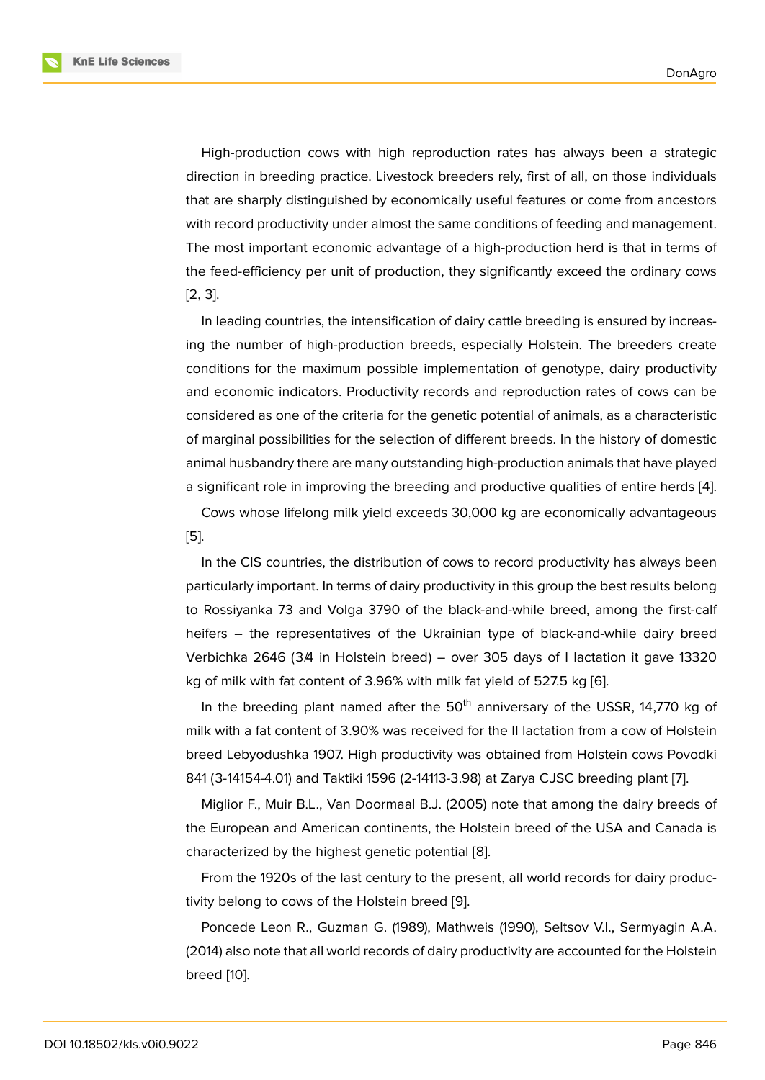High-production cows with high reproduction rates has always been a strategic direction in breeding practice. Livestock breeders rely, first of all, on those individuals that are sharply distinguished by economically useful features or come from ancestors with record productivity under almost the same conditions of feeding and management. The most important economic advantage of a high-production herd is that in terms of the feed-efficiency per unit of production, they significantly exceed the ordinary cows [2, 3].

In leading countries, the intensification of dairy cattle breeding is ensured by increasing the number of high-production breeds, especially Holstein. The breeders create [co](#page-6-0)[nd](#page-6-1)itions for the maximum possible implementation of genotype, dairy productivity and economic indicators. Productivity records and reproduction rates of cows can be considered as one of the criteria for the genetic potential of animals, as a characteristic of marginal possibilities for the selection of different breeds. In the history of domestic animal husbandry there are many outstanding high-production animals that have played a significant role in improving the breeding and productive qualities of entire herds [4].

Cows whose lifelong milk yield exceeds 30,000 kg are economically advantageous [5].

In the CIS countries, the distribution of cows to record productivity has always be[en](#page-6-2) particularly important. In terms of dairy productivity in this group the best results belong [to](#page-6-3) Rossiyanka 73 and Volga 3790 of the black-and-while breed, among the first-calf heifers – the representatives of the Ukrainian type of black-and-while dairy breed Verbichka 2646 (3A in Holstein breed) – over 305 days of I lactation it gave 13320 kg of milk with fat content of 3.96% with milk fat yield of 527.5 kg [6].

In the breeding plant named after the  $50<sup>th</sup>$  anniversary of the USSR, 14,770 kg of milk with a fat content of 3.90% was received for the II lactation from a cow of Holstein breed Lebyodushka 1907. High productivity was obtained from H[ols](#page-7-0)tein cows Povodki 841 (3-14154-4.01) and Taktiki 1596 (2-14113-3.98) at Zarya CJSC breeding plant [7].

Miglior F., Muir B.L., Van Doormaal B.J. (2005) note that among the dairy breeds of the European and American continents, the Holstein breed of the USA and Canada is characterized by the highest genetic potential [8].

From the 1920s of the last century to the present, all world records for dairy productivity belong to cows of the Holstein breed [9].

Poncede Leon R., Guzman G. (1989), Math[we](#page-7-1)is (1990), Seltsov V.I., Sermyagin A.A. (2014) also note that all world records of dairy productivity are accounted for the Holstein breed [10].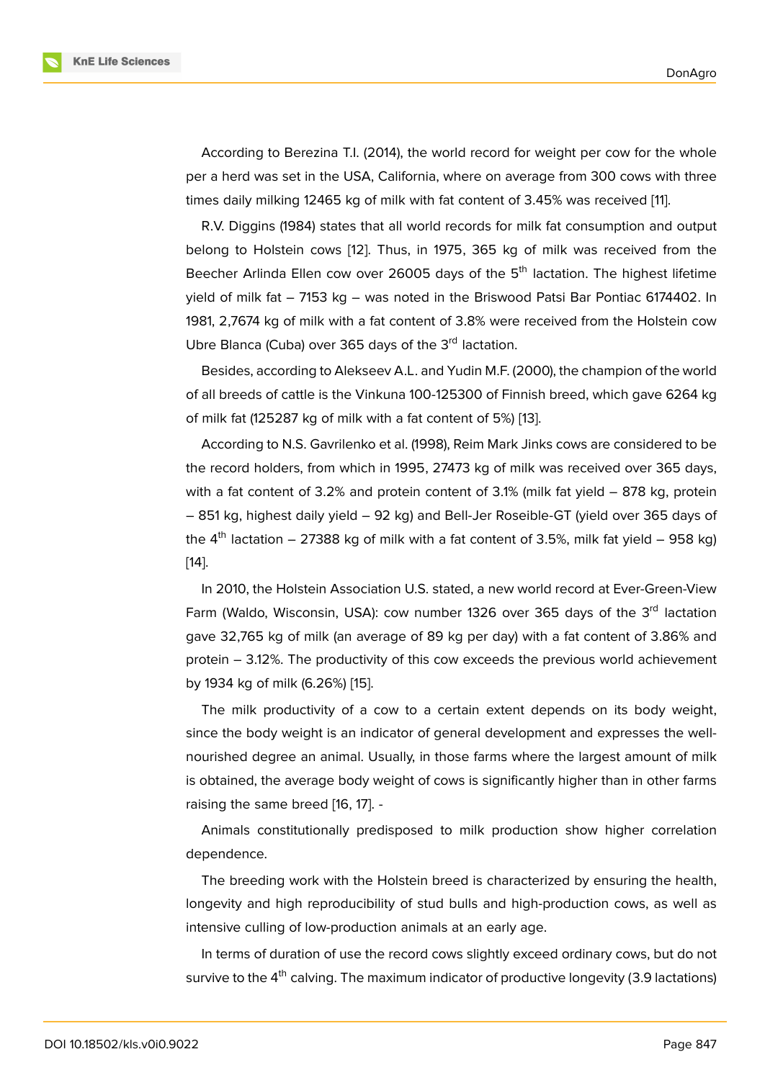According to Berezina T.I. (2014), the world record for weight per cow for the whole per a herd was set in the USA, California, where on average from 300 cows with three times daily milking 12465 kg of milk with fat content of 3.45% was received [11].

R.V. Diggins (1984) states that all world records for milk fat consumption and output belong to Holstein cows [12]. Thus, in 1975, 365 kg of milk was received from the Beecher Arlinda Ellen cow over 26005 days of the 5<sup>th</sup> lactation. The high[est](#page-7-2) lifetime yield of milk fat – 7153 kg – was noted in the Briswood Patsi Bar Pontiac 6174402. In 1981, 2,7674 kg of milk wit[h a](#page-7-3) fat content of 3.8% were received from the Holstein cow Ubre Blanca (Cuba) over 365 days of the 3<sup>rd</sup> lactation.

Besides, according to Alekseev A.L. and Yudin M.F. (2000), the champion of the world of all breeds of cattle is the Vinkuna 100-125300 of Finnish breed, which gave 6264 kg of milk fat (125287 kg of milk with a fat content of 5%) [13].

According to N.S. Gavrilenko et al. (1998), Reim Mark Jinks cows are considered to be the record holders, from which in 1995, 27473 kg of milk was received over 365 days, with a fat content of 3.2% and protein content of 3.1% [\(m](#page-7-4)ilk fat yield – 878 kg, protein – 851 kg, highest daily yield – 92 kg) and Bell-Jer Roseible-GT (yield over 365 days of the  $4<sup>th</sup>$  lactation – 27388 kg of milk with a fat content of 3.5%, milk fat yield – 958 kg) [14].

In 2010, the Holstein Association U.S. stated, a new world record at Ever-Green-View Farm (Waldo, Wisconsin, USA): cow number 1326 over 365 days of the  $3<sup>rd</sup>$  lactation [gav](#page-7-5)e 32,765 kg of milk (an average of 89 kg per day) with a fat content of 3.86% and protein – 3.12%. The productivity of this cow exceeds the previous world achievement by 1934 kg of milk (6.26%) [15].

The milk productivity of a cow to a certain extent depends on its body weight, since the body weight is an indicator of general development and expresses the wellnourished degree an anim[al.](#page-7-6) Usually, in those farms where the largest amount of milk is obtained, the average body weight of cows is significantly higher than in other farms raising the same breed [16, 17]. -

Animals constitutionally predisposed to milk production show higher correlation dependence.

The breeding work w[ith](#page-7-7) [the](#page-7-8) Holstein breed is characterized by ensuring the health, longevity and high reproducibility of stud bulls and high-production cows, as well as intensive culling of low-production animals at an early age.

In terms of duration of use the record cows slightly exceed ordinary cows, but do not survive to the 4<sup>th</sup> calving. The maximum indicator of productive longevity (3.9 lactations)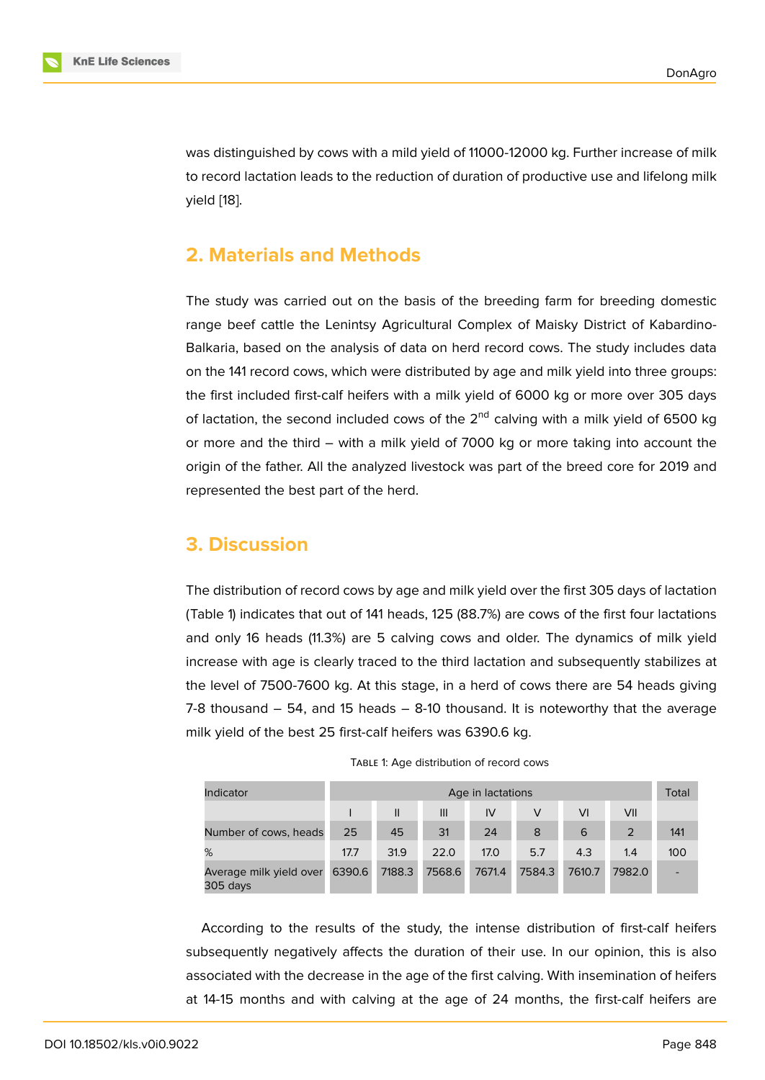was distinguished by cows with a mild yield of 11000-12000 kg. Further increase of milk to record lactation leads to the reduction of duration of productive use and lifelong milk yield [18].

### **2. [Ma](#page-7-9)terials and Methods**

The study was carried out on the basis of the breeding farm for breeding domestic range beef cattle the Lenintsy Agricultural Complex of Maisky District of Kabardino-Balkaria, based on the analysis of data on herd record cows. The study includes data on the 141 record cows, which were distributed by age and milk yield into three groups: the first included first-calf heifers with a milk yield of 6000 kg or more over 305 days of lactation, the second included cows of the  $2<sup>nd</sup>$  calving with a milk yield of 6500 kg or more and the third – with a milk yield of 7000 kg or more taking into account the origin of the father. All the analyzed livestock was part of the breed core for 2019 and represented the best part of the herd.

## **3. Discussion**

The distribution of record cows by age and milk yield over the first 305 days of lactation (Table 1) indicates that out of 141 heads, 125 (88.7%) are cows of the first four lactations and only 16 heads (11.3%) are 5 calving cows and older. The dynamics of milk yield increase with age is clearly traced to the third lactation and subsequently stabilizes at the level of 7500-7600 kg. At this stage, in a herd of cows there are 54 heads giving 7-8 thousand – 54, and 15 heads – 8-10 thousand. It is noteworthy that the average milk yield of the best 25 first-calf heifers was 6390.6 kg.

| Indicator                           | Age in lactations |               |        |        |        |        |        |     |  |
|-------------------------------------|-------------------|---------------|--------|--------|--------|--------|--------|-----|--|
|                                     |                   | $\mathsf{II}$ | III    | IV     |        | VI     | VII    |     |  |
| Number of cows, heads               | 25                | 45            | 31     | 24     | 8      | 6      | 2      | 141 |  |
| %                                   | 17.7              | 31.9          | 22.0   | 17.0   | 5.7    | 4.3    | 1.4    | 100 |  |
| Average milk yield over<br>305 days | 6390.6            | 7188.3        | 7568.6 | 7671.4 | 7584.3 | 7610.7 | 7982.0 |     |  |

| TABLE 1: Age distribution of record cows |  |
|------------------------------------------|--|
|------------------------------------------|--|

According to the results of the study, the intense distribution of first-calf heifers subsequently negatively affects the duration of their use. In our opinion, this is also associated with the decrease in the age of the first calving. With insemination of heifers at 14-15 months and with calving at the age of 24 months, the first-calf heifers are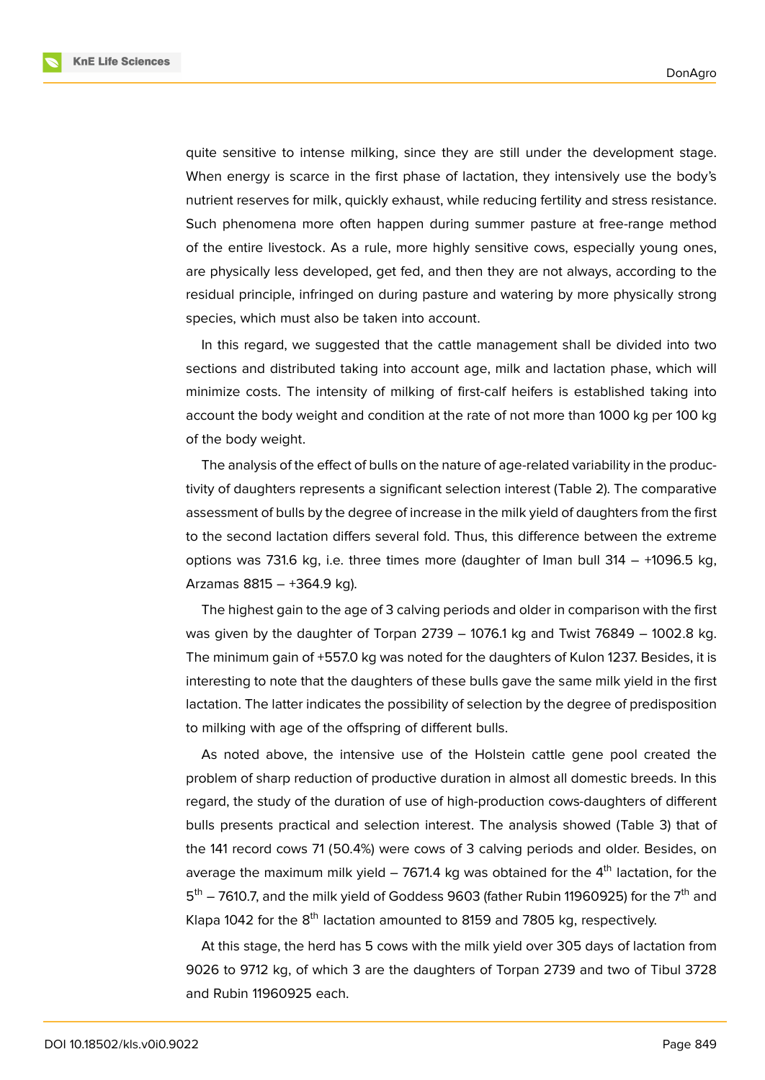**KnE Life Sciences** 



quite sensitive to intense milking, since they are still under the development stage. When energy is scarce in the first phase of lactation, they intensively use the body's nutrient reserves for milk, quickly exhaust, while reducing fertility and stress resistance. Such phenomena more often happen during summer pasture at free-range method of the entire livestock. As a rule, more highly sensitive cows, especially young ones, are physically less developed, get fed, and then they are not always, according to the residual principle, infringed on during pasture and watering by more physically strong species, which must also be taken into account.

In this regard, we suggested that the cattle management shall be divided into two sections and distributed taking into account age, milk and lactation phase, which will minimize costs. The intensity of milking of first-calf heifers is established taking into account the body weight and condition at the rate of not more than 1000 kg per 100 kg of the body weight.

The analysis of the effect of bulls on the nature of age-related variability in the productivity of daughters represents a significant selection interest (Table 2). The comparative assessment of bulls by the degree of increase in the milk yield of daughters from the first to the second lactation differs several fold. Thus, this difference between the extreme options was 731.6 kg, i.e. three times more (daughter of Iman bull  $314 - +1096.5$  kg, Arzamas 8815 – +364.9 kg).

The highest gain to the age of 3 calving periods and older in comparison with the first was given by the daughter of Torpan 2739  $-$  1076.1 kg and Twist 76849  $-$  1002.8 kg. The minimum gain of +557.0 kg was noted for the daughters of Kulon 1237. Besides, it is interesting to note that the daughters of these bulls gave the same milk yield in the first lactation. The latter indicates the possibility of selection by the degree of predisposition to milking with age of the offspring of different bulls.

As noted above, the intensive use of the Holstein cattle gene pool created the problem of sharp reduction of productive duration in almost all domestic breeds. In this regard, the study of the duration of use of high-production cows-daughters of different bulls presents practical and selection interest. The analysis showed (Table 3) that of the 141 record cows 71 (50.4%) were cows of 3 calving periods and older. Besides, on average the maximum milk yield  $-$  7671.4 kg was obtained for the  $4<sup>th</sup>$  lactation, for the  $5^{\text{th}}$  – 7610.7, and the milk yield of Goddess 9603 (father Rubin 11960925) for the 7<sup>th</sup> and Klapa 1042 for the 8<sup>th</sup> lactation amounted to 8159 and 7805 kg, respectively.

At this stage, the herd has 5 cows with the milk yield over 305 days of lactation from 9026 to 9712 kg, of which 3 are the daughters of Torpan 2739 and two of Tibul 3728 and Rubin 11960925 each.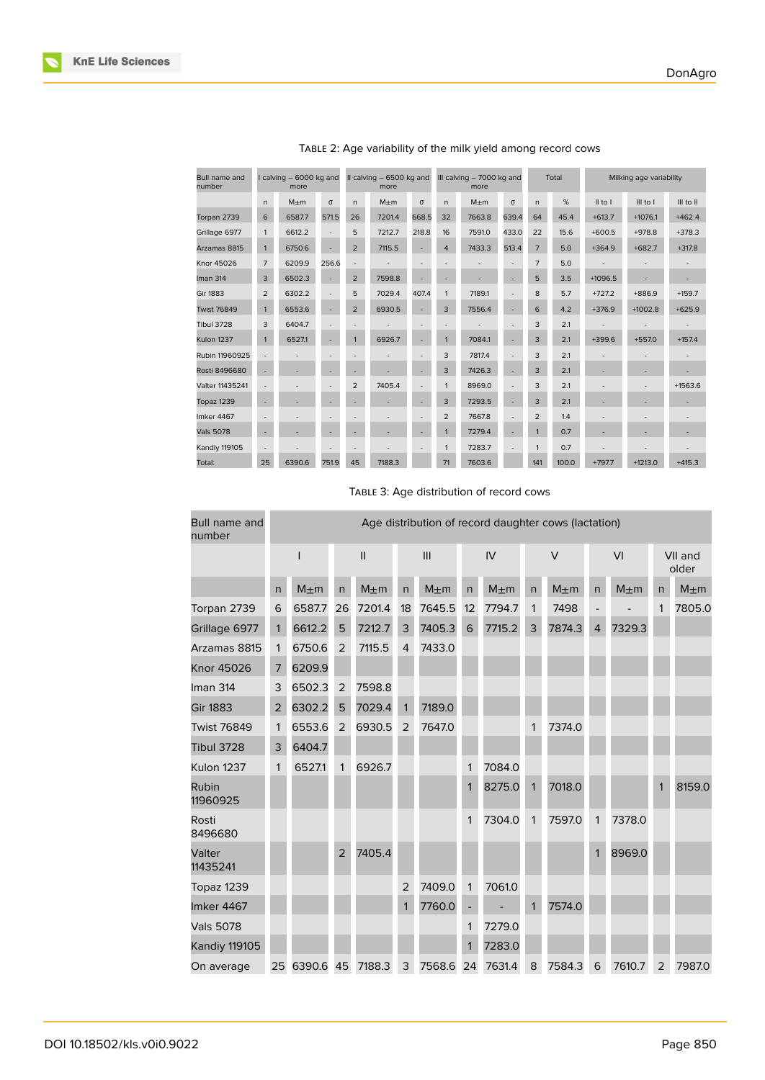

TABLE 2: Age variability of the milk yield among record cows

TABLE 3: Age distribution of record cows

| Bull name and<br>number | Age distribution of record daughter cows (lactation) |           |                |           |                |           |              |           |              |           |                          |           |                  |           |
|-------------------------|------------------------------------------------------|-----------|----------------|-----------|----------------|-----------|--------------|-----------|--------------|-----------|--------------------------|-----------|------------------|-----------|
|                         |                                                      |           | $\mathbf{I}$   |           | III            |           | IV           |           | $\vee$       |           | VI                       |           | VII and<br>older |           |
|                         | n                                                    | $M \pm m$ | $\mathsf{n}$   | $M \pm m$ | n              | $M \pm m$ | $\mathsf{n}$ | $M \pm m$ | n            | $M \pm m$ | n                        | $M \pm m$ | $\mathsf{n}$     | $M \pm m$ |
| Torpan 2739             | 6                                                    | 6587.7    | 26             | 7201.4    | 18             | 7645.5    | 12           | 7794.7    | 1            | 7498      | $\overline{\phantom{0}}$ |           | $\mathbf{1}$     | 7805.0    |
| Grillage 6977           | 1                                                    | 6612.2    | 5              | 7212.7    | 3              | 7405.3    | 6            | 7715.2    | 3            | 7874.3    | $\overline{4}$           | 7329.3    |                  |           |
| Arzamas 8815            | 1                                                    | 6750.6    | $\overline{2}$ | 7115.5    | $\overline{4}$ | 7433.0    |              |           |              |           |                          |           |                  |           |
| Knor 45026              | 7                                                    | 6209.9    |                |           |                |           |              |           |              |           |                          |           |                  |           |
| Iman 314                | 3                                                    | 6502.3    | $\overline{2}$ | 7598.8    |                |           |              |           |              |           |                          |           |                  |           |
| <b>Gir 1883</b>         | $\overline{2}$                                       | 6302.2    | 5              | 7029.4    | $\mathbf{1}$   | 7189.0    |              |           |              |           |                          |           |                  |           |
| <b>Twist 76849</b>      | 1                                                    | 6553.6    | $\overline{2}$ | 6930.5    | 2              | 7647.0    |              |           | 1            | 7374.0    |                          |           |                  |           |
| <b>Tibul 3728</b>       | 3                                                    | 6404.7    |                |           |                |           |              |           |              |           |                          |           |                  |           |
| Kulon 1237              | 1                                                    | 6527.1    | 1              | 6926.7    |                |           | 1            | 7084.0    |              |           |                          |           |                  |           |
| Rubin<br>11960925       |                                                      |           |                |           |                |           | $\mathbf{1}$ | 8275.0    | $\mathbf{1}$ | 7018.0    |                          |           | $\mathbf{1}$     | 8159.0    |
| Rosti<br>8496680        |                                                      |           |                |           |                |           | 1            | 7304.0    | 1            | 7597.0    | 1                        | 7378.0    |                  |           |
| Valter<br>11435241      |                                                      |           | $\overline{2}$ | 7405.4    |                |           |              |           |              |           | 1                        | 8969.0    |                  |           |
| Topaz 1239              |                                                      |           |                |           | $\overline{2}$ | 7409.0    | $\mathbf{1}$ | 7061.0    |              |           |                          |           |                  |           |
| Imker 4467              |                                                      |           |                |           | $\mathbf{1}$   | 7760.0    | f            |           | $\mathbf{1}$ | 7574.0    |                          |           |                  |           |
| <b>Vals 5078</b>        |                                                      |           |                |           |                |           | 1            | 7279.0    |              |           |                          |           |                  |           |
| <b>Kandiy 119105</b>    |                                                      |           |                |           |                |           | $\mathbf{1}$ | 7283.0    |              |           |                          |           |                  |           |
| On average              | 25                                                   | 6390.6 45 |                | 7188.3    | 3              | 7568.6    | 24           | 7631.4    | 8            | 7584.3    | 6                        | 7610.7    | $\overline{2}$   | 7987.0    |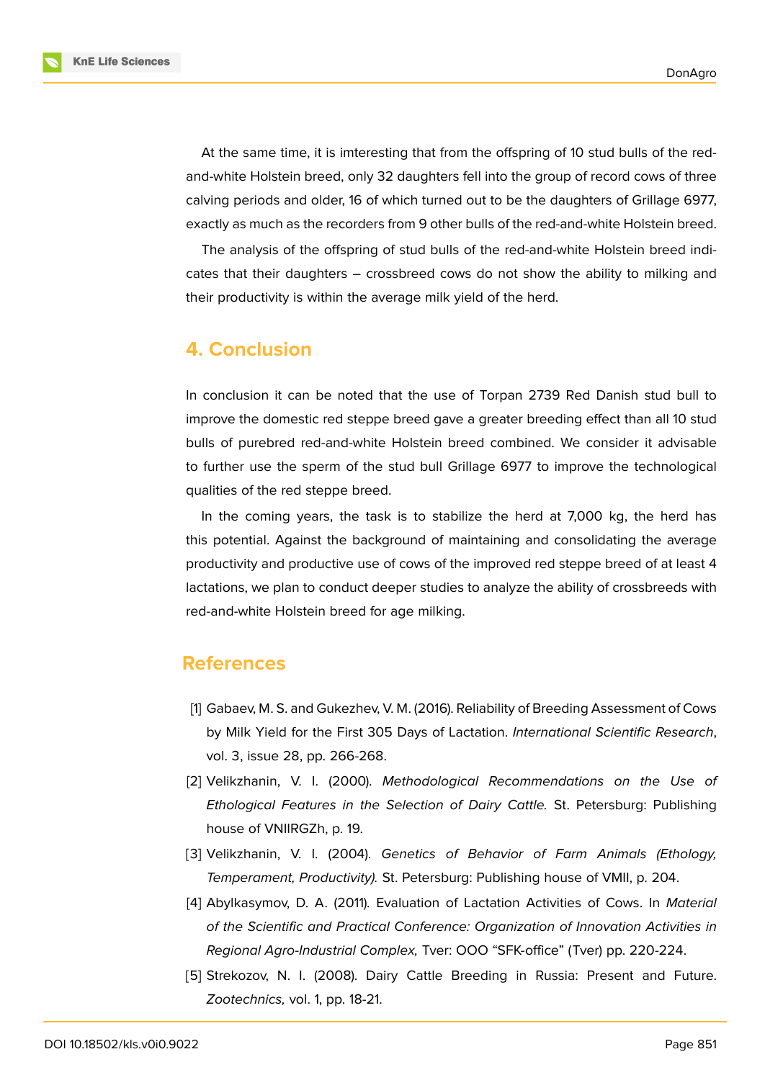**KnE Life Sciences** 

At the same time, it is imteresting that from the offspring of 10 stud bulls of the redand-white Holstein breed, only 32 daughters fell into the group of record cows of three calving periods and older, 16 of which turned out to be the daughters of Grillage 6977, exactly as much as the recorders from 9 other bulls of the red-and-white Holstein breed.

The analysis of the offspring of stud bulls of the red-and-white Holstein breed indicates that their daughters – crossbreed cows do not show the ability to milking and their productivity is within the average milk yield of the herd.

### **4. Conclusion**

In conclusion it can be noted that the use of Torpan 2739 Red Danish stud bull to improve the domestic red steppe breed gave a greater breeding effect than all 10 stud bulls of purebred red-and-white Holstein breed combined. We consider it advisable to further use the sperm of the stud bull Grillage 6977 to improve the technological qualities of the red steppe breed.

In the coming years, the task is to stabilize the herd at 7,000 kg, the herd has this potential. Against the background of maintaining and consolidating the average productivity and productive use of cows of the improved red steppe breed of at least 4 lactations, we plan to conduct deeper studies to analyze the ability of crossbreeds with red-and-white Holstein breed for age milking.

#### **References**

- [1] Gabaev, M. S. and Gukezhev, V. M. (2016). Reliability of Breeding Assessment of Cows by Milk Yield for the First 305 Days of Lactation. *International Scientific Research*, vol. 3, issue 28, pp. 266-268.
- <span id="page-6-0"></span>[2] Velikzhanin, V. I. (2000). *Methodological Recommendations on the Use of Ethological Features in the Selection of Dairy Cattle.* St. Petersburg: Publishing house of VNIIRGZh, p. 19.
- <span id="page-6-1"></span>[3] Velikzhanin, V. I. (2004). *Genetics of Behavior of Farm Animals (Ethology, Temperament, Productivity).* St. Petersburg: Publishing house of VMII, p. 204.
- <span id="page-6-2"></span>[4] Abylkasymov, D. A. (2011). Evaluation of Lactation Activities of Cows. In *Material of the Scientific and Practical Conference: Organization of Innovation Activities in Regional Agro-Industrial Complex,* Tver: OOO "SFK-office" (Tver) pp. 220-224.
- <span id="page-6-3"></span>[5] Strekozov, N. I. (2008). Dairy Cattle Breeding in Russia: Present and Future. *Zootechnics,* vol. 1, pp. 18-21.